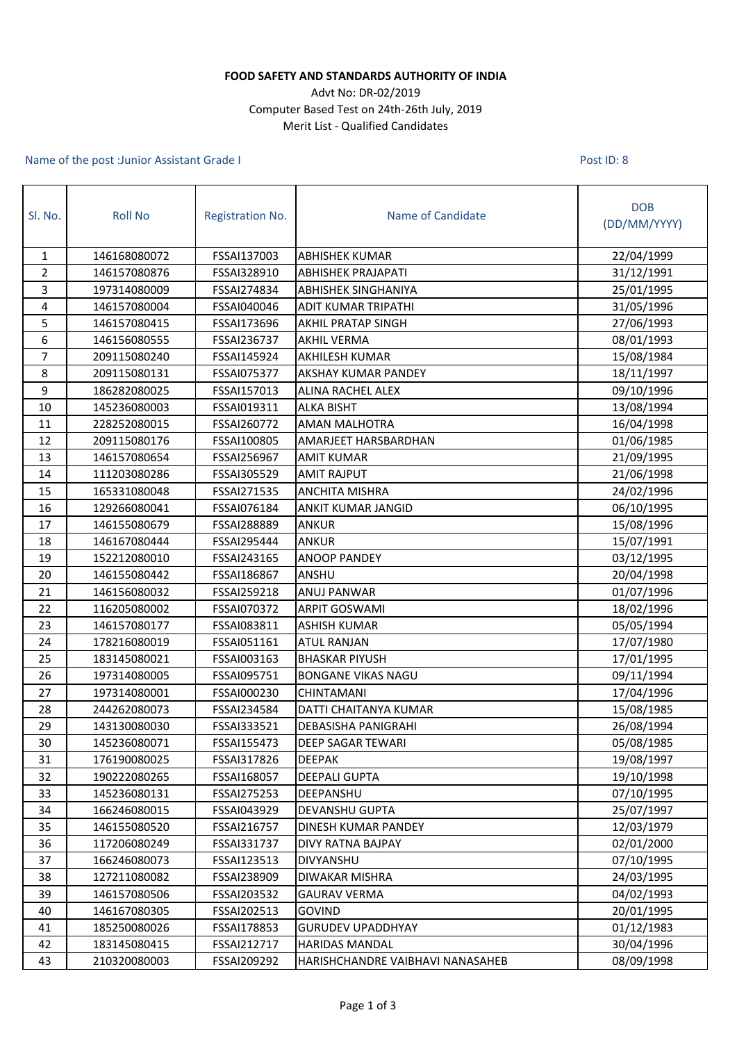## **FOOD SAFETY AND STANDARDS AUTHORITY OF INDIA**

## Advt No: DR-02/2019 Computer Based Test on 24th-26th July, 2019 Merit List - Qualified Candidates

## Name of the post :Junior Assistant Grade I

Post ID: 8

| Sl. No.          | <b>Roll No</b> | Registration No. | Name of Candidate                | <b>DOB</b><br>(DD/MM/YYYY) |
|------------------|----------------|------------------|----------------------------------|----------------------------|
| $\mathbf{1}$     | 146168080072   | FSSAI137003      | <b>ABHISHEK KUMAR</b>            | 22/04/1999                 |
| $\overline{2}$   | 146157080876   | FSSAI328910      | <b>ABHISHEK PRAJAPATI</b>        | 31/12/1991                 |
| 3                | 197314080009   | FSSAI274834      | <b>ABHISHEK SINGHANIYA</b>       | 25/01/1995                 |
| 4                | 146157080004   | FSSAI040046      | ADIT KUMAR TRIPATHI              | 31/05/1996                 |
| 5                | 146157080415   | FSSAI173696      | <b>AKHIL PRATAP SINGH</b>        | 27/06/1993                 |
| 6                | 146156080555   | FSSAI236737      | <b>AKHIL VERMA</b>               | 08/01/1993                 |
| $\overline{7}$   | 209115080240   | FSSAI145924      | AKHILESH KUMAR                   | 15/08/1984                 |
| 8                | 209115080131   | FSSAI075377      | AKSHAY KUMAR PANDEY              | 18/11/1997                 |
| $\boldsymbol{9}$ | 186282080025   | FSSAI157013      | ALINA RACHEL ALEX                | 09/10/1996                 |
| 10               | 145236080003   | FSSAI019311      | <b>ALKA BISHT</b>                | 13/08/1994                 |
| 11               | 228252080015   | FSSAI260772      | AMAN MALHOTRA                    | 16/04/1998                 |
| 12               | 209115080176   | FSSAI100805      | AMARJEET HARSBARDHAN             | 01/06/1985                 |
| 13               | 146157080654   | FSSAI256967      | <b>AMIT KUMAR</b>                | 21/09/1995                 |
| 14               | 111203080286   | FSSAI305529      | <b>AMIT RAJPUT</b>               | 21/06/1998                 |
| 15               | 165331080048   | FSSAI271535      | ANCHITA MISHRA                   | 24/02/1996                 |
| 16               | 129266080041   | FSSAI076184      | ANKIT KUMAR JANGID               | 06/10/1995                 |
| 17               | 146155080679   | FSSAI288889      | ANKUR                            | 15/08/1996                 |
| 18               | 146167080444   | FSSAI295444      | ANKUR                            | 15/07/1991                 |
| 19               | 152212080010   | FSSAI243165      | <b>ANOOP PANDEY</b>              | 03/12/1995                 |
| 20               | 146155080442   | FSSAI186867      | ANSHU                            | 20/04/1998                 |
| 21               | 146156080032   | FSSAI259218      | <b>ANUJ PANWAR</b>               | 01/07/1996                 |
| 22               | 116205080002   | FSSAI070372      | <b>ARPIT GOSWAMI</b>             | 18/02/1996                 |
| 23               | 146157080177   | FSSAI083811      | <b>ASHISH KUMAR</b>              | 05/05/1994                 |
| 24               | 178216080019   | FSSAI051161      | <b>ATUL RANJAN</b>               | 17/07/1980                 |
| 25               | 183145080021   | FSSAI003163      | <b>BHASKAR PIYUSH</b>            | 17/01/1995                 |
| 26               | 197314080005   | FSSAI095751      | <b>BONGANE VIKAS NAGU</b>        | 09/11/1994                 |
| 27               | 197314080001   | FSSAI000230      | <b>CHINTAMANI</b>                | 17/04/1996                 |
| 28               | 244262080073   | FSSAI234584      | DATTI CHAITANYA KUMAR            | 15/08/1985                 |
| 29               | 143130080030   | FSSAI333521      | <b>DEBASISHA PANIGRAHI</b>       | 26/08/1994                 |
| 30               | 145236080071   | FSSAI155473      | <b>DEEP SAGAR TEWARI</b>         | 05/08/1985                 |
| 31               | 176190080025   | FSSAI317826      | <b>DEEPAK</b>                    | 19/08/1997                 |
| 32               | 190222080265   | FSSAI168057      | <b>DEEPALI GUPTA</b>             | 19/10/1998                 |
| 33               | 145236080131   | FSSAI275253      | DEEPANSHU                        | 07/10/1995                 |
| 34               | 166246080015   | FSSAI043929      | DEVANSHU GUPTA                   | 25/07/1997                 |
| 35               | 146155080520   | FSSAI216757      | DINESH KUMAR PANDEY              | 12/03/1979                 |
| 36               | 117206080249   | FSSAI331737      | <b>DIVY RATNA BAJPAY</b>         | 02/01/2000                 |
| 37               | 166246080073   | FSSAI123513      | DIVYANSHU                        | 07/10/1995                 |
| 38               | 127211080082   | FSSAI238909      | DIWAKAR MISHRA                   | 24/03/1995                 |
| 39               | 146157080506   | FSSAI203532      | <b>GAURAV VERMA</b>              | 04/02/1993                 |
| 40               | 146167080305   | FSSAI202513      | <b>GOVIND</b>                    | 20/01/1995                 |
| 41               | 185250080026   | FSSAI178853      | <b>GURUDEV UPADDHYAY</b>         | 01/12/1983                 |
| 42               | 183145080415   | FSSAI212717      | <b>HARIDAS MANDAL</b>            | 30/04/1996                 |
| 43               | 210320080003   | FSSAI209292      | HARISHCHANDRE VAIBHAVI NANASAHEB | 08/09/1998                 |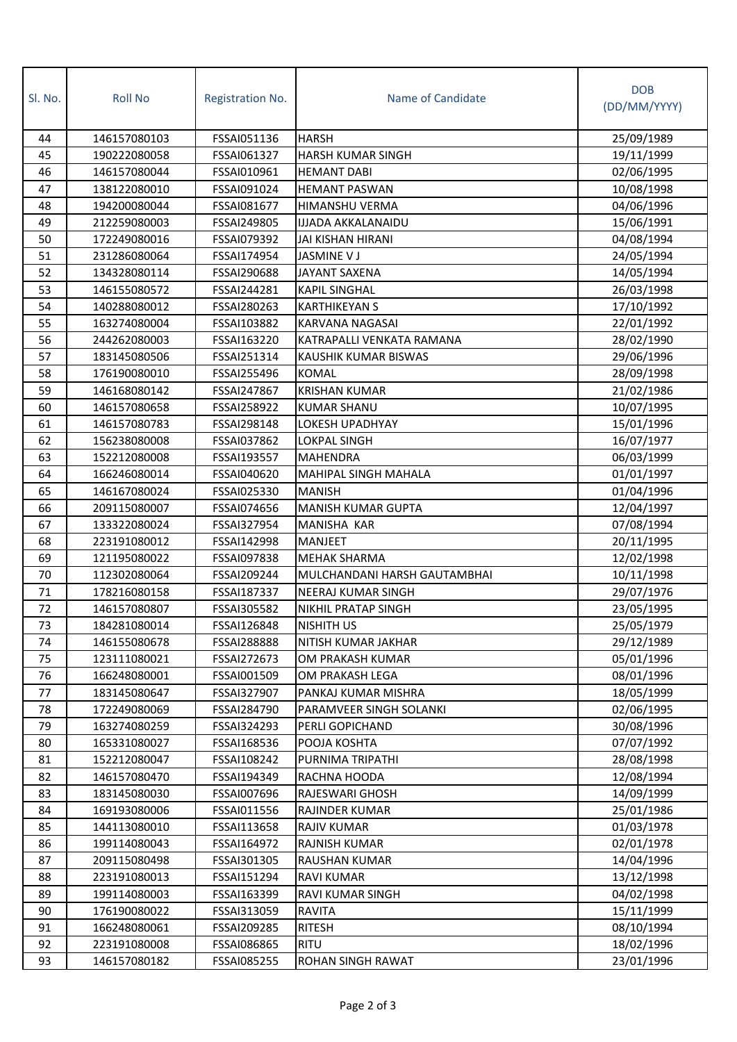| SI. No. | <b>Roll No</b> | Registration No.   | Name of Candidate            | <b>DOB</b><br>(DD/MM/YYYY) |
|---------|----------------|--------------------|------------------------------|----------------------------|
| 44      | 146157080103   | FSSAI051136        | <b>HARSH</b>                 | 25/09/1989                 |
| 45      | 190222080058   | FSSAI061327        | <b>HARSH KUMAR SINGH</b>     | 19/11/1999                 |
| 46      | 146157080044   | FSSAI010961        | <b>HEMANT DABI</b>           | 02/06/1995                 |
| 47      | 138122080010   | FSSAI091024        | <b>HEMANT PASWAN</b>         | 10/08/1998                 |
| 48      | 194200080044   | FSSAI081677        | <b>HIMANSHU VERMA</b>        | 04/06/1996                 |
| 49      | 212259080003   | FSSAI249805        | <b>IJJADA AKKALANAIDU</b>    | 15/06/1991                 |
| 50      | 172249080016   | FSSAI079392        | JAI KISHAN HIRANI            | 04/08/1994                 |
| 51      | 231286080064   | FSSAI174954        | <b>JASMINE V J</b>           | 24/05/1994                 |
| 52      | 134328080114   | FSSAI290688        | <b>JAYANT SAXENA</b>         | 14/05/1994                 |
| 53      | 146155080572   | FSSAI244281        | <b>KAPIL SINGHAL</b>         | 26/03/1998                 |
| 54      | 140288080012   | FSSAI280263        | <b>KARTHIKEYAN S</b>         | 17/10/1992                 |
| 55      | 163274080004   | FSSAI103882        | <b>KARVANA NAGASAI</b>       | 22/01/1992                 |
| 56      | 244262080003   | FSSAI163220        | KATRAPALLI VENKATA RAMANA    | 28/02/1990                 |
| 57      | 183145080506   | FSSAI251314        | KAUSHIK KUMAR BISWAS         | 29/06/1996                 |
| 58      | 176190080010   | FSSAI255496        | <b>KOMAL</b>                 | 28/09/1998                 |
| 59      | 146168080142   | FSSAI247867        | <b>KRISHAN KUMAR</b>         | 21/02/1986                 |
| 60      | 146157080658   | FSSAI258922        | <b>KUMAR SHANU</b>           | 10/07/1995                 |
| 61      | 146157080783   | <b>FSSAI298148</b> | LOKESH UPADHYAY              | 15/01/1996                 |
| 62      | 156238080008   | FSSAI037862        | LOKPAL SINGH                 | 16/07/1977                 |
| 63      | 152212080008   | FSSAI193557        | <b>MAHENDRA</b>              | 06/03/1999                 |
| 64      | 166246080014   | FSSAI040620        | <b>MAHIPAL SINGH MAHALA</b>  | 01/01/1997                 |
| 65      | 146167080024   | FSSAI025330        | <b>MANISH</b>                | 01/04/1996                 |
| 66      | 209115080007   | FSSAI074656        | <b>MANISH KUMAR GUPTA</b>    | 12/04/1997                 |
| 67      | 133322080024   | FSSAI327954        | <b>MANISHA KAR</b>           | 07/08/1994                 |
| 68      | 223191080012   | FSSAI142998        | <b>MANJEET</b>               | 20/11/1995                 |
| 69      | 121195080022   | FSSAI097838        | <b>MEHAK SHARMA</b>          | 12/02/1998                 |
| 70      | 112302080064   | FSSAI209244        | MULCHANDANI HARSH GAUTAMBHAI | 10/11/1998                 |
| 71      | 178216080158   | FSSAI187337        | <b>NEERAJ KUMAR SINGH</b>    | 29/07/1976                 |
| 72      | 146157080807   | FSSAI305582        | <b>NIKHIL PRATAP SINGH</b>   | 23/05/1995                 |
| 73      | 184281080014   | FSSAI126848        | NISHITH US                   | 25/05/1979                 |
| 74      | 146155080678   | <b>FSSAI288888</b> | NITISH KUMAR JAKHAR          | 29/12/1989                 |
| 75      | 123111080021   | FSSAI272673        | OM PRAKASH KUMAR             | 05/01/1996                 |
| 76      | 166248080001   | FSSAI001509        | OM PRAKASH LEGA              | 08/01/1996                 |
| 77      | 183145080647   | FSSAI327907        | PANKAJ KUMAR MISHRA          | 18/05/1999                 |
| 78      | 172249080069   | FSSAI284790        | PARAMVEER SINGH SOLANKI      | 02/06/1995                 |
| 79      | 163274080259   | FSSAI324293        | PERLI GOPICHAND              | 30/08/1996                 |
| 80      | 165331080027   | FSSAI168536        | POOJA KOSHTA                 | 07/07/1992                 |
| 81      | 152212080047   | FSSAI108242        | PURNIMA TRIPATHI             | 28/08/1998                 |
| 82      | 146157080470   | FSSAI194349        | RACHNA HOODA                 | 12/08/1994                 |
| 83      | 183145080030   | FSSAI007696        | <b>RAJESWARI GHOSH</b>       | 14/09/1999                 |
| 84      | 169193080006   | FSSAI011556        | <b>RAJINDER KUMAR</b>        | 25/01/1986                 |
| 85      | 144113080010   | FSSAI113658        | <b>RAJIV KUMAR</b>           | 01/03/1978                 |
| 86      | 199114080043   | FSSAI164972        | <b>RAJNISH KUMAR</b>         | 02/01/1978                 |
| 87      | 209115080498   | FSSAI301305        | <b>RAUSHAN KUMAR</b>         | 14/04/1996                 |
| 88      | 223191080013   | FSSAI151294        | <b>RAVI KUMAR</b>            | 13/12/1998                 |
| 89      | 199114080003   | FSSAI163399        | <b>RAVI KUMAR SINGH</b>      | 04/02/1998                 |
| 90      | 176190080022   | FSSAI313059        | <b>RAVITA</b>                | 15/11/1999                 |
| 91      | 166248080061   | FSSAI209285        | <b>RITESH</b>                | 08/10/1994                 |
| 92      | 223191080008   | FSSAI086865        | RITU                         | 18/02/1996                 |
| 93      | 146157080182   | FSSAI085255        | ROHAN SINGH RAWAT            | 23/01/1996                 |